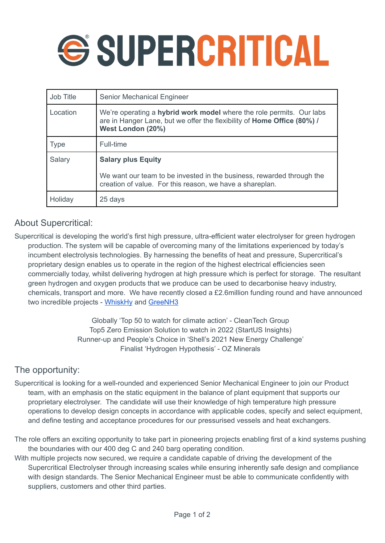

| Job Title   | Senior Mechanical Engineer                                                                                                                                           |
|-------------|----------------------------------------------------------------------------------------------------------------------------------------------------------------------|
| Location    | We're operating a hybrid work model where the role permits. Our labs<br>are in Hanger Lane, but we offer the flexibility of Home Office (80%) /<br>West London (20%) |
| <b>Type</b> | Full-time                                                                                                                                                            |
| Salary      | <b>Salary plus Equity</b><br>We want our team to be invested in the business, rewarded through the<br>creation of value. For this reason, we have a shareplan.       |
| Holiday     | 25 days                                                                                                                                                              |

## About Supercritical:

Supercritical is developing the world's first high pressure, ultra-efficient water electrolyser for green hydrogen production. The system will be capable of overcoming many of the limitations experienced by today's incumbent electrolysis technologies. By harnessing the benefits of heat and pressure, Supercritical's proprietary design enables us to operate in the region of the highest electrical efficiencies seen commercially today, whilst delivering hydrogen at high pressure which is perfect for storage. The resultant green hydrogen and oxygen products that we produce can be used to decarbonise heavy industry, chemicals, transport and more. We have recently closed a £2.6million funding round and have announced two incredible projects - [WhiskHy](http://www.whiskhy.com) and [GreeNH3](https://www.scottishpower.com/news/pages/global_first_as_greenh3_secures_uk_government_funding.aspx)

> Globally 'Top 50 to watch for climate action' - CleanTech Group Top5 Zero Emission Solution to watch in 2022 (StartUS Insights) Runner-up and People's Choice in 'Shell's 2021 New Energy Challenge' Finalist 'Hydrogen Hypothesis' - OZ Minerals

# The opportunity:

Supercritical is looking for a well-rounded and experienced Senior Mechanical Engineer to join our Product team, with an emphasis on the static equipment in the balance of plant equipment that supports our proprietary electrolyser. The candidate will use their knowledge of high temperature high pressure operations to develop design concepts in accordance with applicable codes, specify and select equipment, and define testing and acceptance procedures for our pressurised vessels and heat exchangers.

The role offers an exciting opportunity to take part in pioneering projects enabling first of a kind systems pushing the boundaries with our 400 deg C and 240 barg operating condition.

With multiple projects now secured, we require a candidate capable of driving the development of the Supercritical Electrolyser through increasing scales while ensuring inherently safe design and compliance with design standards. The Senior Mechanical Engineer must be able to communicate confidently with suppliers, customers and other third parties.